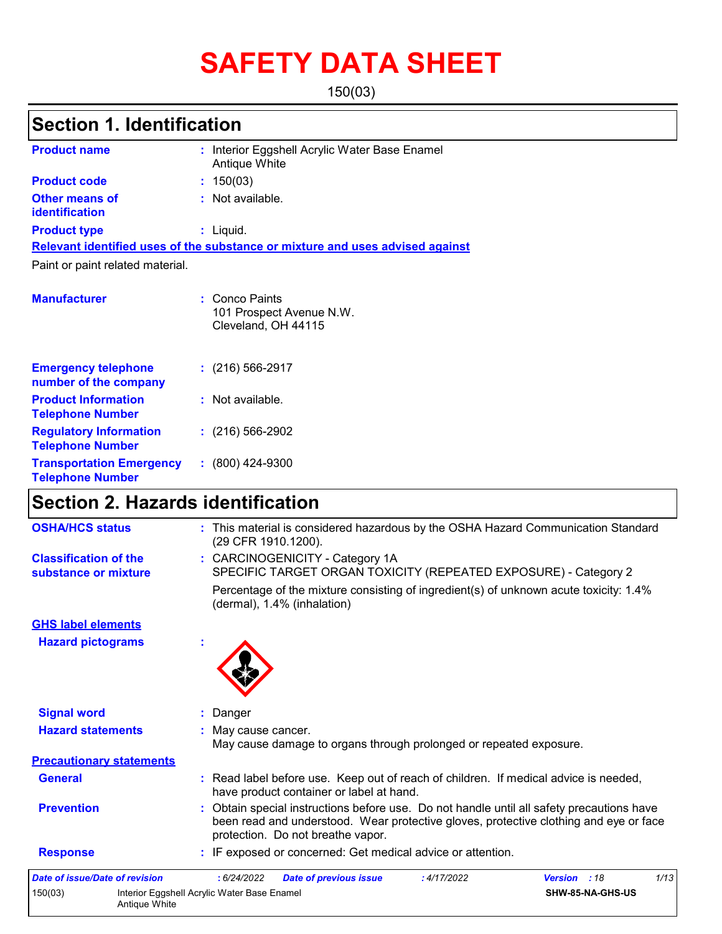# **SAFETY DATA SHEET**

150(03)

### **Section 1. Identification**

| <b>Product name</b>                                      | : Interior Eggshell Acrylic Water Base Enamel<br>Antique White                |
|----------------------------------------------------------|-------------------------------------------------------------------------------|
| <b>Product code</b>                                      | : 150(03)                                                                     |
| <b>Other means of</b><br>identification                  | Not available.<br>÷.                                                          |
| <b>Product type</b>                                      | $:$ Liquid.                                                                   |
|                                                          | Relevant identified uses of the substance or mixture and uses advised against |
| Paint or paint related material.                         |                                                                               |
|                                                          |                                                                               |
| <b>Manufacturer</b>                                      | : Conco Paints<br>101 Prospect Avenue N.W.<br>Cleveland, OH 44115             |
| <b>Emergency telephone</b><br>number of the company      | $: (216) 566 - 2917$                                                          |
| <b>Product Information</b><br><b>Telephone Number</b>    | Not available.                                                                |
| <b>Regulatory Information</b><br><b>Telephone Number</b> | $\div$ (216) 566-2902                                                         |

**:** (800) 424-9300

### **Section 2. Hazards identification**

**Transportation Emergency Telephone Number**

| <b>OSHA/HCS status</b>                               | : This material is considered hazardous by the OSHA Hazard Communication Standard<br>(29 CFR 1910.1200).                                                                                                                |
|------------------------------------------------------|-------------------------------------------------------------------------------------------------------------------------------------------------------------------------------------------------------------------------|
| <b>Classification of the</b><br>substance or mixture | : CARCINOGENICITY - Category 1A<br>SPECIFIC TARGET ORGAN TOXICITY (REPEATED EXPOSURE) - Category 2                                                                                                                      |
|                                                      | Percentage of the mixture consisting of ingredient(s) of unknown acute toxicity: 1.4%<br>(dermal), 1.4% (inhalation)                                                                                                    |
| <b>GHS label elements</b>                            |                                                                                                                                                                                                                         |
| <b>Hazard pictograms</b>                             |                                                                                                                                                                                                                         |
| <b>Signal word</b>                                   | : Danger                                                                                                                                                                                                                |
| <b>Hazard statements</b>                             | : May cause cancer.<br>May cause damage to organs through prolonged or repeated exposure.                                                                                                                               |
| <b>Precautionary statements</b>                      |                                                                                                                                                                                                                         |
| <b>General</b>                                       | : Read label before use. Keep out of reach of children. If medical advice is needed,<br>have product container or label at hand.                                                                                        |
| <b>Prevention</b>                                    | : Obtain special instructions before use. Do not handle until all safety precautions have<br>been read and understood. Wear protective gloves, protective clothing and eye or face<br>protection. Do not breathe vapor. |
| <b>Response</b>                                      | : IF exposed or concerned: Get medical advice or attention.                                                                                                                                                             |
| <b>Date of issue/Date of revision</b>                | 1/13<br>: 6/24/2022<br><b>Date of previous issue</b><br>:4/17/2022<br><b>Version</b> : 18                                                                                                                               |
| 150(03)                                              | Interior Eggshell Acrylic Water Base Enamel<br>SHW-85-NA-GHS-US<br>Antique White                                                                                                                                        |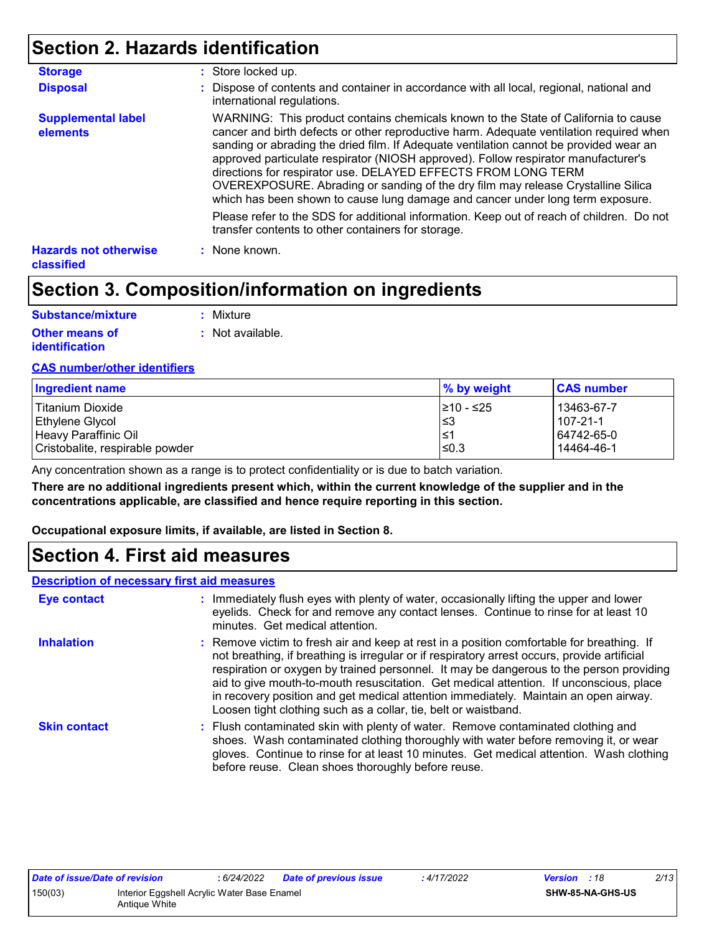### **Section 2. Hazards identification**

| <b>Storage</b>                             | : Store locked up.                                                                                                                                                                                                                                                                                                                                                                                                                                                                                                                                                                                   |  |
|--------------------------------------------|------------------------------------------------------------------------------------------------------------------------------------------------------------------------------------------------------------------------------------------------------------------------------------------------------------------------------------------------------------------------------------------------------------------------------------------------------------------------------------------------------------------------------------------------------------------------------------------------------|--|
| <b>Disposal</b>                            | : Dispose of contents and container in accordance with all local, regional, national and<br>international regulations.                                                                                                                                                                                                                                                                                                                                                                                                                                                                               |  |
| <b>Supplemental label</b><br>elements      | WARNING: This product contains chemicals known to the State of California to cause<br>cancer and birth defects or other reproductive harm. Adequate ventilation required when<br>sanding or abrading the dried film. If Adequate ventilation cannot be provided wear an<br>approved particulate respirator (NIOSH approved). Follow respirator manufacturer's<br>directions for respirator use. DELAYED EFFECTS FROM LONG TERM<br>OVEREXPOSURE. Abrading or sanding of the dry film may release Crystalline Silica<br>which has been shown to cause lung damage and cancer under long term exposure. |  |
|                                            | Please refer to the SDS for additional information. Keep out of reach of children. Do not<br>transfer contents to other containers for storage.                                                                                                                                                                                                                                                                                                                                                                                                                                                      |  |
| <b>Hazards not otherwise</b><br>classified | : None known.                                                                                                                                                                                                                                                                                                                                                                                                                                                                                                                                                                                        |  |

### **Section 3. Composition/information on ingredients**

| Substance/mixture     | : Mixture        |
|-----------------------|------------------|
| <b>Other means of</b> | : Not available. |
| <i>identification</i> |                  |

#### **CAS number/other identifiers**

| Ingredient name                 | ∣% by weight | <b>CAS number</b> |
|---------------------------------|--------------|-------------------|
| l Titanium Dioxide              | l≥10 - ≤25   | 13463-67-7        |
| Ethylene Glycol                 | 3≥ ا         | 1107-21-1         |
| Heavy Paraffinic Oil            | 1≤1          | 64742-65-0        |
| Cristobalite, respirable powder | l≤0.3        | 14464-46-1        |

Any concentration shown as a range is to protect confidentiality or is due to batch variation.

**There are no additional ingredients present which, within the current knowledge of the supplier and in the concentrations applicable, are classified and hence require reporting in this section.**

**Occupational exposure limits, if available, are listed in Section 8.**

### **Section 4. First aid measures**

#### **Description of necessary first aid measures**

| <b>Eye contact</b>  | : Immediately flush eyes with plenty of water, occasionally lifting the upper and lower<br>eyelids. Check for and remove any contact lenses. Continue to rinse for at least 10<br>minutes. Get medical attention.                                                                                                                                                                                                                                                                                                                         |
|---------------------|-------------------------------------------------------------------------------------------------------------------------------------------------------------------------------------------------------------------------------------------------------------------------------------------------------------------------------------------------------------------------------------------------------------------------------------------------------------------------------------------------------------------------------------------|
| <b>Inhalation</b>   | : Remove victim to fresh air and keep at rest in a position comfortable for breathing. If<br>not breathing, if breathing is irregular or if respiratory arrest occurs, provide artificial<br>respiration or oxygen by trained personnel. It may be dangerous to the person providing<br>aid to give mouth-to-mouth resuscitation. Get medical attention. If unconscious, place<br>in recovery position and get medical attention immediately. Maintain an open airway.<br>Loosen tight clothing such as a collar, tie, belt or waistband. |
| <b>Skin contact</b> | : Flush contaminated skin with plenty of water. Remove contaminated clothing and<br>shoes. Wash contaminated clothing thoroughly with water before removing it, or wear<br>gloves. Continue to rinse for at least 10 minutes. Get medical attention. Wash clothing<br>before reuse. Clean shoes thoroughly before reuse.                                                                                                                                                                                                                  |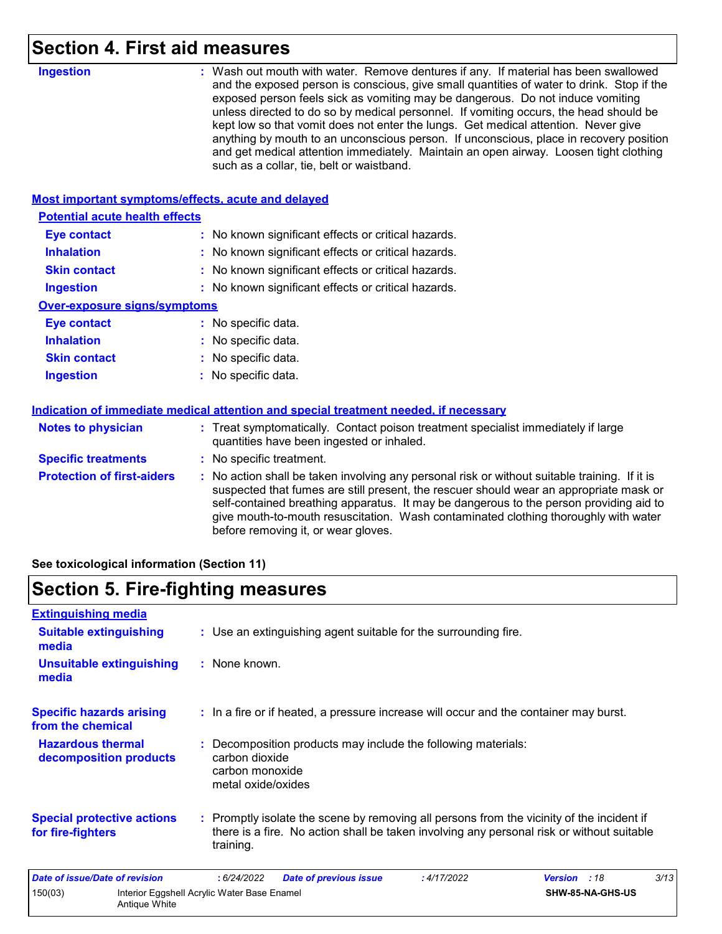### **Section 4. First aid measures**

| <b>Ingestion</b><br>: Wash out mouth with water. Remove dentures if any. If material has been swallowed<br>and the exposed person is conscious, give small quantities of water to drink. Stop if the<br>exposed person feels sick as vomiting may be dangerous. Do not induce vomiting<br>unless directed to do so by medical personnel. If vomiting occurs, the head should be<br>kept low so that vomit does not enter the lungs. Get medical attention. Never give<br>anything by mouth to an unconscious person. If unconscious, place in recovery position<br>and get medical attention immediately. Maintain an open airway. Loosen tight clothing<br>such as a collar, tie, belt or waistband.<br><b>Most important symptoms/effects, acute and delayed</b><br><b>Potential acute health effects</b><br><b>Eye contact</b><br>: No known significant effects or critical hazards.<br><b>Inhalation</b><br>No known significant effects or critical hazards.<br>: No known significant effects or critical hazards.<br><b>Skin contact</b><br><b>Ingestion</b><br>: No known significant effects or critical hazards.<br><b>Over-exposure signs/symptoms</b><br>: No specific data.<br><b>Eye contact</b><br><b>Inhalation</b><br>No specific data.<br>: No specific data.<br><b>Skin contact</b><br><b>Ingestion</b><br>No specific data.<br>Indication of immediate medical attention and special treatment needed, if necessary<br>: Treat symptomatically. Contact poison treatment specialist immediately if large<br><b>Notes to physician</b><br>quantities have been ingested or inhaled.<br><b>Specific treatments</b><br>: No specific treatment.<br><b>Protection of first-aiders</b><br>No action shall be taken involving any personal risk or without suitable training. If it is<br>suspected that fumes are still present, the rescuer should wear an appropriate mask or<br>self-contained breathing apparatus. It may be dangerous to the person providing aid to<br>give mouth-to-mouth resuscitation. Wash contaminated clothing thoroughly with water<br>before removing it, or wear gloves. |  |  |
|-------------------------------------------------------------------------------------------------------------------------------------------------------------------------------------------------------------------------------------------------------------------------------------------------------------------------------------------------------------------------------------------------------------------------------------------------------------------------------------------------------------------------------------------------------------------------------------------------------------------------------------------------------------------------------------------------------------------------------------------------------------------------------------------------------------------------------------------------------------------------------------------------------------------------------------------------------------------------------------------------------------------------------------------------------------------------------------------------------------------------------------------------------------------------------------------------------------------------------------------------------------------------------------------------------------------------------------------------------------------------------------------------------------------------------------------------------------------------------------------------------------------------------------------------------------------------------------------------------------------------------------------------------------------------------------------------------------------------------------------------------------------------------------------------------------------------------------------------------------------------------------------------------------------------------------------------------------------------------------------------------------------------------------------------------------------------------------------------------------------------|--|--|
|                                                                                                                                                                                                                                                                                                                                                                                                                                                                                                                                                                                                                                                                                                                                                                                                                                                                                                                                                                                                                                                                                                                                                                                                                                                                                                                                                                                                                                                                                                                                                                                                                                                                                                                                                                                                                                                                                                                                                                                                                                                                                                                         |  |  |
|                                                                                                                                                                                                                                                                                                                                                                                                                                                                                                                                                                                                                                                                                                                                                                                                                                                                                                                                                                                                                                                                                                                                                                                                                                                                                                                                                                                                                                                                                                                                                                                                                                                                                                                                                                                                                                                                                                                                                                                                                                                                                                                         |  |  |
|                                                                                                                                                                                                                                                                                                                                                                                                                                                                                                                                                                                                                                                                                                                                                                                                                                                                                                                                                                                                                                                                                                                                                                                                                                                                                                                                                                                                                                                                                                                                                                                                                                                                                                                                                                                                                                                                                                                                                                                                                                                                                                                         |  |  |
|                                                                                                                                                                                                                                                                                                                                                                                                                                                                                                                                                                                                                                                                                                                                                                                                                                                                                                                                                                                                                                                                                                                                                                                                                                                                                                                                                                                                                                                                                                                                                                                                                                                                                                                                                                                                                                                                                                                                                                                                                                                                                                                         |  |  |
|                                                                                                                                                                                                                                                                                                                                                                                                                                                                                                                                                                                                                                                                                                                                                                                                                                                                                                                                                                                                                                                                                                                                                                                                                                                                                                                                                                                                                                                                                                                                                                                                                                                                                                                                                                                                                                                                                                                                                                                                                                                                                                                         |  |  |
|                                                                                                                                                                                                                                                                                                                                                                                                                                                                                                                                                                                                                                                                                                                                                                                                                                                                                                                                                                                                                                                                                                                                                                                                                                                                                                                                                                                                                                                                                                                                                                                                                                                                                                                                                                                                                                                                                                                                                                                                                                                                                                                         |  |  |
|                                                                                                                                                                                                                                                                                                                                                                                                                                                                                                                                                                                                                                                                                                                                                                                                                                                                                                                                                                                                                                                                                                                                                                                                                                                                                                                                                                                                                                                                                                                                                                                                                                                                                                                                                                                                                                                                                                                                                                                                                                                                                                                         |  |  |
|                                                                                                                                                                                                                                                                                                                                                                                                                                                                                                                                                                                                                                                                                                                                                                                                                                                                                                                                                                                                                                                                                                                                                                                                                                                                                                                                                                                                                                                                                                                                                                                                                                                                                                                                                                                                                                                                                                                                                                                                                                                                                                                         |  |  |
|                                                                                                                                                                                                                                                                                                                                                                                                                                                                                                                                                                                                                                                                                                                                                                                                                                                                                                                                                                                                                                                                                                                                                                                                                                                                                                                                                                                                                                                                                                                                                                                                                                                                                                                                                                                                                                                                                                                                                                                                                                                                                                                         |  |  |
|                                                                                                                                                                                                                                                                                                                                                                                                                                                                                                                                                                                                                                                                                                                                                                                                                                                                                                                                                                                                                                                                                                                                                                                                                                                                                                                                                                                                                                                                                                                                                                                                                                                                                                                                                                                                                                                                                                                                                                                                                                                                                                                         |  |  |
|                                                                                                                                                                                                                                                                                                                                                                                                                                                                                                                                                                                                                                                                                                                                                                                                                                                                                                                                                                                                                                                                                                                                                                                                                                                                                                                                                                                                                                                                                                                                                                                                                                                                                                                                                                                                                                                                                                                                                                                                                                                                                                                         |  |  |
|                                                                                                                                                                                                                                                                                                                                                                                                                                                                                                                                                                                                                                                                                                                                                                                                                                                                                                                                                                                                                                                                                                                                                                                                                                                                                                                                                                                                                                                                                                                                                                                                                                                                                                                                                                                                                                                                                                                                                                                                                                                                                                                         |  |  |
|                                                                                                                                                                                                                                                                                                                                                                                                                                                                                                                                                                                                                                                                                                                                                                                                                                                                                                                                                                                                                                                                                                                                                                                                                                                                                                                                                                                                                                                                                                                                                                                                                                                                                                                                                                                                                                                                                                                                                                                                                                                                                                                         |  |  |
|                                                                                                                                                                                                                                                                                                                                                                                                                                                                                                                                                                                                                                                                                                                                                                                                                                                                                                                                                                                                                                                                                                                                                                                                                                                                                                                                                                                                                                                                                                                                                                                                                                                                                                                                                                                                                                                                                                                                                                                                                                                                                                                         |  |  |
|                                                                                                                                                                                                                                                                                                                                                                                                                                                                                                                                                                                                                                                                                                                                                                                                                                                                                                                                                                                                                                                                                                                                                                                                                                                                                                                                                                                                                                                                                                                                                                                                                                                                                                                                                                                                                                                                                                                                                                                                                                                                                                                         |  |  |
|                                                                                                                                                                                                                                                                                                                                                                                                                                                                                                                                                                                                                                                                                                                                                                                                                                                                                                                                                                                                                                                                                                                                                                                                                                                                                                                                                                                                                                                                                                                                                                                                                                                                                                                                                                                                                                                                                                                                                                                                                                                                                                                         |  |  |

**See toxicological information (Section 11)**

### **Section 5. Fire-fighting measures**

| <b>Extinguishing media</b>                             |                                                                                                                                                                                                     |      |  |  |
|--------------------------------------------------------|-----------------------------------------------------------------------------------------------------------------------------------------------------------------------------------------------------|------|--|--|
| <b>Suitable extinguishing</b><br>media                 | : Use an extinguishing agent suitable for the surrounding fire.                                                                                                                                     |      |  |  |
| <b>Unsuitable extinguishing</b><br>media               | : None known.                                                                                                                                                                                       |      |  |  |
| <b>Specific hazards arising</b><br>from the chemical   | : In a fire or if heated, a pressure increase will occur and the container may burst.                                                                                                               |      |  |  |
| <b>Hazardous thermal</b><br>decomposition products     | : Decomposition products may include the following materials:<br>carbon dioxide<br>carbon monoxide<br>metal oxide/oxides                                                                            |      |  |  |
| <b>Special protective actions</b><br>for fire-fighters | : Promptly isolate the scene by removing all persons from the vicinity of the incident if<br>there is a fire. No action shall be taken involving any personal risk or without suitable<br>training. |      |  |  |
| <b>Date of issue/Date of revision</b>                  | : 6/24/2022<br><b>Date of previous issue</b><br><b>Version</b><br>:18<br>: 4/17/2022                                                                                                                | 3/13 |  |  |
| 150(03)                                                | SHW-85-NA-GHS-US<br>Interior Eggshell Acrylic Water Base Enamel<br>Antique White                                                                                                                    |      |  |  |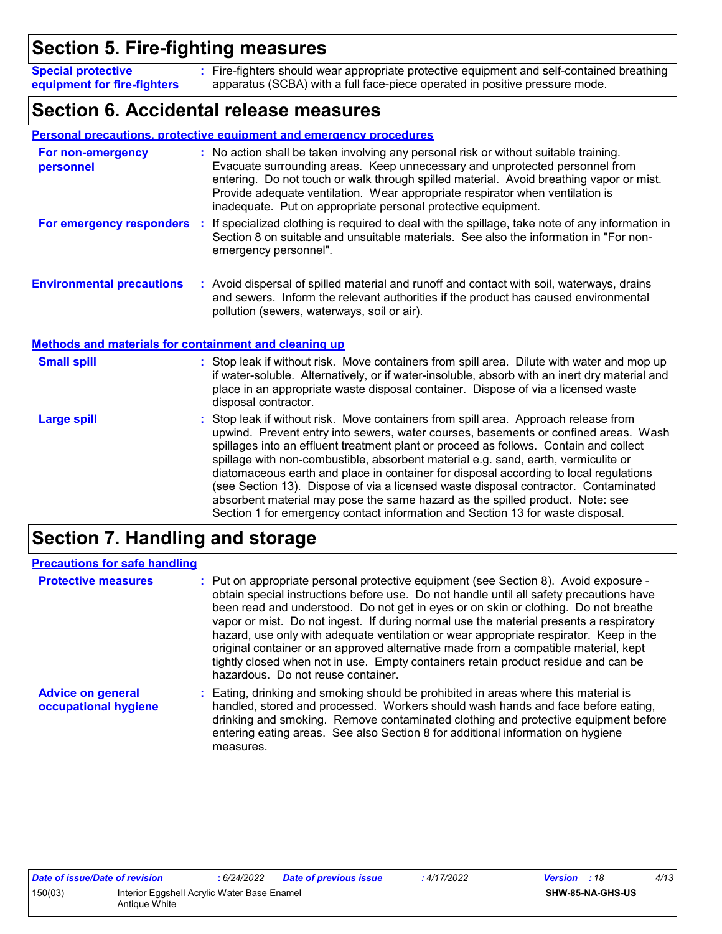### **Section 5. Fire-fighting measures**

Fire-fighters should wear appropriate protective equipment and self-contained breathing **:** apparatus (SCBA) with a full face-piece operated in positive pressure mode. **Special protective equipment for fire-fighters**

### **Section 6. Accidental release measures**

|                                                              | Personal precautions, protective equipment and emergency procedures                                                                                                                                                                                                                                                                                                                                                                                                                                                                                                                                                                                                                                        |
|--------------------------------------------------------------|------------------------------------------------------------------------------------------------------------------------------------------------------------------------------------------------------------------------------------------------------------------------------------------------------------------------------------------------------------------------------------------------------------------------------------------------------------------------------------------------------------------------------------------------------------------------------------------------------------------------------------------------------------------------------------------------------------|
| For non-emergency<br>personnel                               | : No action shall be taken involving any personal risk or without suitable training.<br>Evacuate surrounding areas. Keep unnecessary and unprotected personnel from<br>entering. Do not touch or walk through spilled material. Avoid breathing vapor or mist.<br>Provide adequate ventilation. Wear appropriate respirator when ventilation is<br>inadequate. Put on appropriate personal protective equipment.                                                                                                                                                                                                                                                                                           |
| For emergency responders                                     | If specialized clothing is required to deal with the spillage, take note of any information in<br>÷.<br>Section 8 on suitable and unsuitable materials. See also the information in "For non-<br>emergency personnel".                                                                                                                                                                                                                                                                                                                                                                                                                                                                                     |
| <b>Environmental precautions</b>                             | : Avoid dispersal of spilled material and runoff and contact with soil, waterways, drains<br>and sewers. Inform the relevant authorities if the product has caused environmental<br>pollution (sewers, waterways, soil or air).                                                                                                                                                                                                                                                                                                                                                                                                                                                                            |
| <b>Methods and materials for containment and cleaning up</b> |                                                                                                                                                                                                                                                                                                                                                                                                                                                                                                                                                                                                                                                                                                            |
| <b>Small spill</b>                                           | : Stop leak if without risk. Move containers from spill area. Dilute with water and mop up<br>if water-soluble. Alternatively, or if water-insoluble, absorb with an inert dry material and<br>place in an appropriate waste disposal container. Dispose of via a licensed waste<br>disposal contractor.                                                                                                                                                                                                                                                                                                                                                                                                   |
| <b>Large spill</b>                                           | Stop leak if without risk. Move containers from spill area. Approach release from<br>upwind. Prevent entry into sewers, water courses, basements or confined areas. Wash<br>spillages into an effluent treatment plant or proceed as follows. Contain and collect<br>spillage with non-combustible, absorbent material e.g. sand, earth, vermiculite or<br>diatomaceous earth and place in container for disposal according to local regulations<br>(see Section 13). Dispose of via a licensed waste disposal contractor. Contaminated<br>absorbent material may pose the same hazard as the spilled product. Note: see<br>Section 1 for emergency contact information and Section 13 for waste disposal. |

### **Section 7. Handling and storage**

| <b>Precautions for safe handling</b>             |                                                                                                                                                                                                                                                                                                                                                                                                                                                                                                                                                                                                                                                                               |
|--------------------------------------------------|-------------------------------------------------------------------------------------------------------------------------------------------------------------------------------------------------------------------------------------------------------------------------------------------------------------------------------------------------------------------------------------------------------------------------------------------------------------------------------------------------------------------------------------------------------------------------------------------------------------------------------------------------------------------------------|
| <b>Protective measures</b>                       | : Put on appropriate personal protective equipment (see Section 8). Avoid exposure -<br>obtain special instructions before use. Do not handle until all safety precautions have<br>been read and understood. Do not get in eyes or on skin or clothing. Do not breathe<br>vapor or mist. Do not ingest. If during normal use the material presents a respiratory<br>hazard, use only with adequate ventilation or wear appropriate respirator. Keep in the<br>original container or an approved alternative made from a compatible material, kept<br>tightly closed when not in use. Empty containers retain product residue and can be<br>hazardous. Do not reuse container. |
| <b>Advice on general</b><br>occupational hygiene | : Eating, drinking and smoking should be prohibited in areas where this material is<br>handled, stored and processed. Workers should wash hands and face before eating,<br>drinking and smoking. Remove contaminated clothing and protective equipment before<br>entering eating areas. See also Section 8 for additional information on hygiene<br>measures.                                                                                                                                                                                                                                                                                                                 |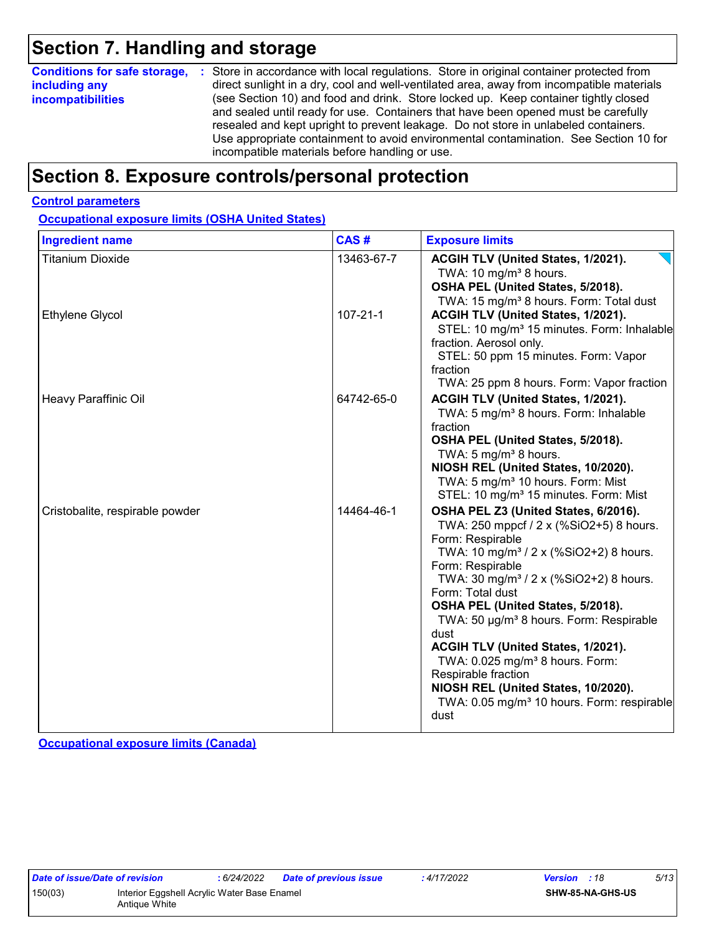### **Section 7. Handling and storage**

| <b>Conditions for safe storage,</b><br>including any<br><i>incompatibilities</i> | : Store in accordance with local regulations. Store in original container protected from<br>direct sunlight in a dry, cool and well-ventilated area, away from incompatible materials<br>(see Section 10) and food and drink. Store locked up. Keep container tightly closed<br>and sealed until ready for use. Containers that have been opened must be carefully<br>resealed and kept upright to prevent leakage. Do not store in unlabeled containers.<br>Use appropriate containment to avoid environmental contamination. See Section 10 for |
|----------------------------------------------------------------------------------|---------------------------------------------------------------------------------------------------------------------------------------------------------------------------------------------------------------------------------------------------------------------------------------------------------------------------------------------------------------------------------------------------------------------------------------------------------------------------------------------------------------------------------------------------|
|                                                                                  | incompatible materials before handling or use.                                                                                                                                                                                                                                                                                                                                                                                                                                                                                                    |

### **Section 8. Exposure controls/personal protection**

#### **Control parameters**

**Occupational exposure limits (OSHA United States)**

| <b>Ingredient name</b>          | CAS#           | <b>Exposure limits</b>                                                                                                                                                                                                                                                                                                                                                                                                                                                                                                                                                           |
|---------------------------------|----------------|----------------------------------------------------------------------------------------------------------------------------------------------------------------------------------------------------------------------------------------------------------------------------------------------------------------------------------------------------------------------------------------------------------------------------------------------------------------------------------------------------------------------------------------------------------------------------------|
| <b>Titanium Dioxide</b>         | 13463-67-7     | ACGIH TLV (United States, 1/2021).<br>TWA: 10 mg/m <sup>3</sup> 8 hours.<br>OSHA PEL (United States, 5/2018).<br>TWA: 15 mg/m <sup>3</sup> 8 hours. Form: Total dust                                                                                                                                                                                                                                                                                                                                                                                                             |
| <b>Ethylene Glycol</b>          | $107 - 21 - 1$ | ACGIH TLV (United States, 1/2021).<br>STEL: 10 mg/m <sup>3</sup> 15 minutes. Form: Inhalable<br>fraction. Aerosol only.<br>STEL: 50 ppm 15 minutes. Form: Vapor<br>fraction<br>TWA: 25 ppm 8 hours. Form: Vapor fraction                                                                                                                                                                                                                                                                                                                                                         |
| Heavy Paraffinic Oil            | 64742-65-0     | ACGIH TLV (United States, 1/2021).<br>TWA: 5 mg/m <sup>3</sup> 8 hours. Form: Inhalable<br>fraction<br>OSHA PEL (United States, 5/2018).<br>TWA: 5 mg/m <sup>3</sup> 8 hours.<br>NIOSH REL (United States, 10/2020).<br>TWA: 5 mg/m <sup>3</sup> 10 hours. Form: Mist<br>STEL: 10 mg/m <sup>3</sup> 15 minutes. Form: Mist                                                                                                                                                                                                                                                       |
| Cristobalite, respirable powder | 14464-46-1     | OSHA PEL Z3 (United States, 6/2016).<br>TWA: 250 mppcf / 2 x (%SiO2+5) 8 hours.<br>Form: Respirable<br>TWA: 10 mg/m <sup>3</sup> / 2 x (%SiO2+2) 8 hours.<br>Form: Respirable<br>TWA: 30 mg/m <sup>3</sup> / 2 x (%SiO2+2) 8 hours.<br>Form: Total dust<br>OSHA PEL (United States, 5/2018).<br>TWA: 50 µg/m <sup>3</sup> 8 hours. Form: Respirable<br>dust<br>ACGIH TLV (United States, 1/2021).<br>TWA: 0.025 mg/m <sup>3</sup> 8 hours. Form:<br>Respirable fraction<br>NIOSH REL (United States, 10/2020).<br>TWA: 0.05 mg/m <sup>3</sup> 10 hours. Form: respirable<br>dust |

**Occupational exposure limits (Canada)**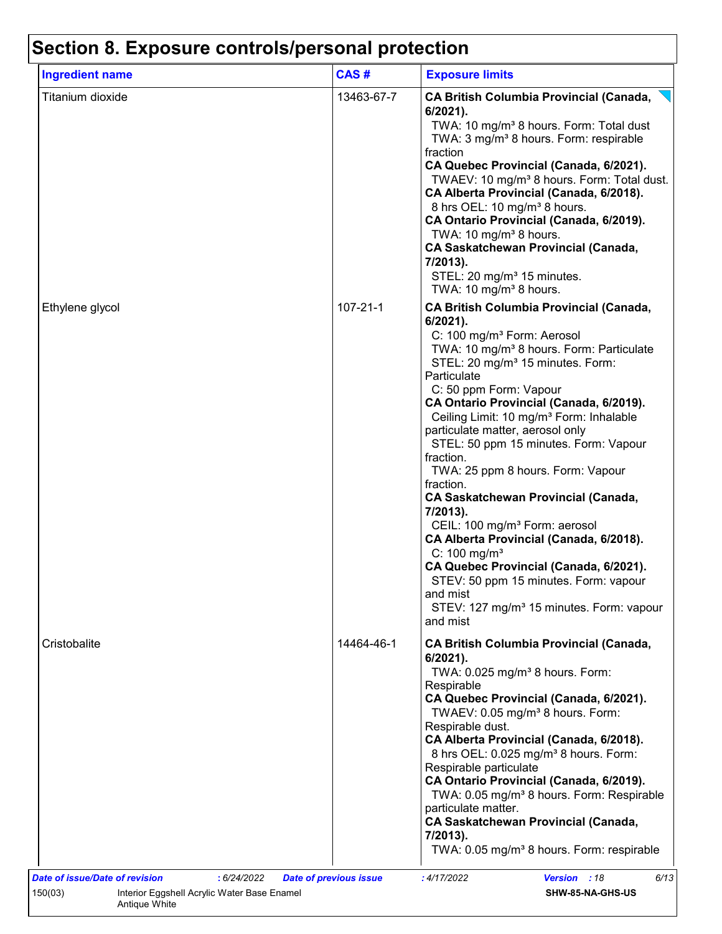| <b>Ingredient name</b> | CAS#           | <b>Exposure limits</b>                                                                                                                                                                                                                                                                                                                                                                                                                                                                                                                                                                                                                                                                                                                                                                                                                                 |
|------------------------|----------------|--------------------------------------------------------------------------------------------------------------------------------------------------------------------------------------------------------------------------------------------------------------------------------------------------------------------------------------------------------------------------------------------------------------------------------------------------------------------------------------------------------------------------------------------------------------------------------------------------------------------------------------------------------------------------------------------------------------------------------------------------------------------------------------------------------------------------------------------------------|
| Titanium dioxide       | 13463-67-7     | <b>CA British Columbia Provincial (Canada,</b><br>$6/2021$ ).<br>TWA: 10 mg/m <sup>3</sup> 8 hours. Form: Total dust<br>TWA: 3 mg/m <sup>3</sup> 8 hours. Form: respirable<br>fraction<br>CA Quebec Provincial (Canada, 6/2021).<br>TWAEV: 10 mg/m <sup>3</sup> 8 hours. Form: Total dust.<br>CA Alberta Provincial (Canada, 6/2018).<br>8 hrs OEL: 10 mg/m <sup>3</sup> 8 hours.<br>CA Ontario Provincial (Canada, 6/2019).<br>TWA: 10 mg/m <sup>3</sup> 8 hours.<br><b>CA Saskatchewan Provincial (Canada,</b><br>7/2013).<br>STEL: 20 mg/m <sup>3</sup> 15 minutes.<br>TWA: 10 mg/m <sup>3</sup> 8 hours.                                                                                                                                                                                                                                           |
| Ethylene glycol        | $107 - 21 - 1$ | <b>CA British Columbia Provincial (Canada,</b><br>6/2021).<br>C: 100 mg/m <sup>3</sup> Form: Aerosol<br>TWA: 10 mg/m <sup>3</sup> 8 hours. Form: Particulate<br>STEL: 20 mg/m <sup>3</sup> 15 minutes. Form:<br>Particulate<br>C: 50 ppm Form: Vapour<br>CA Ontario Provincial (Canada, 6/2019).<br>Ceiling Limit: 10 mg/m <sup>3</sup> Form: Inhalable<br>particulate matter, aerosol only<br>STEL: 50 ppm 15 minutes. Form: Vapour<br>fraction.<br>TWA: 25 ppm 8 hours. Form: Vapour<br>fraction.<br><b>CA Saskatchewan Provincial (Canada,</b><br>7/2013).<br>CEIL: 100 mg/m <sup>3</sup> Form: aerosol<br>CA Alberta Provincial (Canada, 6/2018).<br>$C: 100$ mg/m <sup>3</sup><br>CA Quebec Provincial (Canada, 6/2021).<br>STEV: 50 ppm 15 minutes. Form: vapour<br>and mist<br>STEV: 127 mg/m <sup>3</sup> 15 minutes. Form: vapour<br>and mist |
| Cristobalite           | 14464-46-1     | <b>CA British Columbia Provincial (Canada,</b><br>$6/2021$ ).<br>TWA: 0.025 mg/m <sup>3</sup> 8 hours. Form:<br>Respirable<br>CA Quebec Provincial (Canada, 6/2021).<br>TWAEV: 0.05 mg/m <sup>3</sup> 8 hours. Form:<br>Respirable dust.<br>CA Alberta Provincial (Canada, 6/2018).<br>8 hrs OEL: 0.025 mg/m <sup>3</sup> 8 hours. Form:<br>Respirable particulate<br>CA Ontario Provincial (Canada, 6/2019).<br>TWA: 0.05 mg/m <sup>3</sup> 8 hours. Form: Respirable<br>particulate matter.<br><b>CA Saskatchewan Provincial (Canada,</b><br>$7/2013$ ).<br>TWA: 0.05 mg/m <sup>3</sup> 8 hours. Form: respirable                                                                                                                                                                                                                                    |

Antique White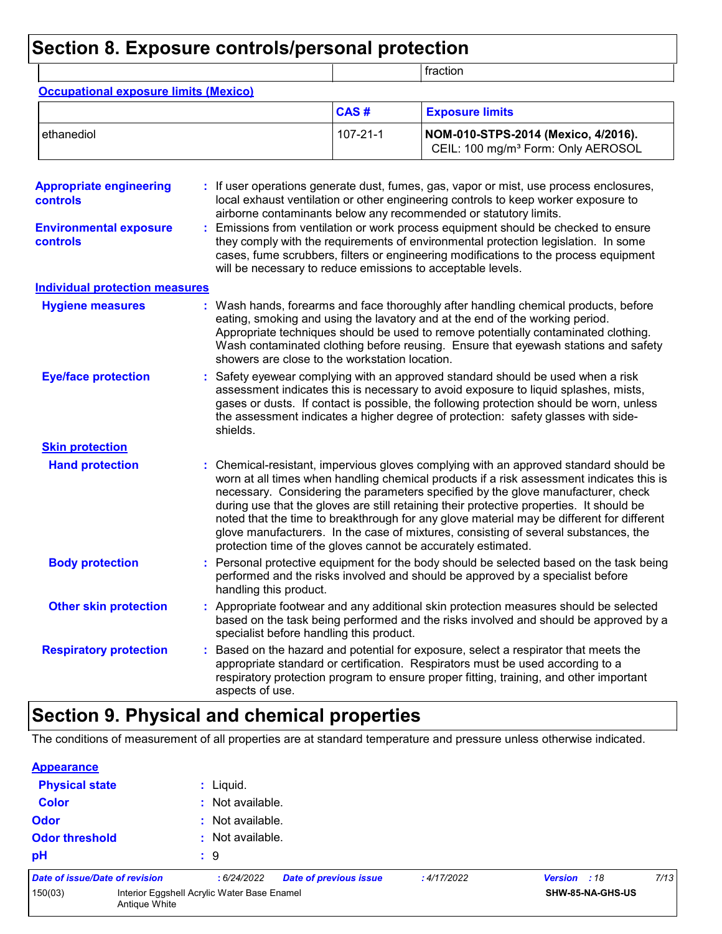### **Section 8. Exposure controls/personal protection**

|                                                                                    |                                                               |                | fraction                                                                                                                                                                                                                                                                                                                                                                                                                                                                                                                                              |
|------------------------------------------------------------------------------------|---------------------------------------------------------------|----------------|-------------------------------------------------------------------------------------------------------------------------------------------------------------------------------------------------------------------------------------------------------------------------------------------------------------------------------------------------------------------------------------------------------------------------------------------------------------------------------------------------------------------------------------------------------|
| <b>Occupational exposure limits (Mexico)</b>                                       |                                                               |                |                                                                                                                                                                                                                                                                                                                                                                                                                                                                                                                                                       |
|                                                                                    |                                                               | CAS#           | <b>Exposure limits</b>                                                                                                                                                                                                                                                                                                                                                                                                                                                                                                                                |
| ethanediol                                                                         |                                                               | $107 - 21 - 1$ | NOM-010-STPS-2014 (Mexico, 4/2016).<br>CEIL: 100 mg/m <sup>3</sup> Form: Only AEROSOL                                                                                                                                                                                                                                                                                                                                                                                                                                                                 |
| <b>Appropriate engineering</b><br><b>controls</b><br><b>Environmental exposure</b> |                                                               |                | If user operations generate dust, fumes, gas, vapor or mist, use process enclosures,<br>local exhaust ventilation or other engineering controls to keep worker exposure to<br>airborne contaminants below any recommended or statutory limits.<br>Emissions from ventilation or work process equipment should be checked to ensure                                                                                                                                                                                                                    |
| controls                                                                           | will be necessary to reduce emissions to acceptable levels.   |                | they comply with the requirements of environmental protection legislation. In some<br>cases, fume scrubbers, filters or engineering modifications to the process equipment                                                                                                                                                                                                                                                                                                                                                                            |
| <b>Individual protection measures</b>                                              |                                                               |                |                                                                                                                                                                                                                                                                                                                                                                                                                                                                                                                                                       |
| <b>Hygiene measures</b>                                                            | showers are close to the workstation location.                |                | Wash hands, forearms and face thoroughly after handling chemical products, before<br>eating, smoking and using the lavatory and at the end of the working period.<br>Appropriate techniques should be used to remove potentially contaminated clothing.<br>Wash contaminated clothing before reusing. Ensure that eyewash stations and safety                                                                                                                                                                                                         |
| <b>Eye/face protection</b>                                                         | shields.                                                      |                | Safety eyewear complying with an approved standard should be used when a risk<br>assessment indicates this is necessary to avoid exposure to liquid splashes, mists,<br>gases or dusts. If contact is possible, the following protection should be worn, unless<br>the assessment indicates a higher degree of protection: safety glasses with side-                                                                                                                                                                                                  |
| <b>Skin protection</b>                                                             |                                                               |                |                                                                                                                                                                                                                                                                                                                                                                                                                                                                                                                                                       |
| <b>Hand protection</b>                                                             | protection time of the gloves cannot be accurately estimated. |                | : Chemical-resistant, impervious gloves complying with an approved standard should be<br>worn at all times when handling chemical products if a risk assessment indicates this is<br>necessary. Considering the parameters specified by the glove manufacturer, check<br>during use that the gloves are still retaining their protective properties. It should be<br>noted that the time to breakthrough for any glove material may be different for different<br>glove manufacturers. In the case of mixtures, consisting of several substances, the |
| <b>Body protection</b>                                                             | handling this product.                                        |                | Personal protective equipment for the body should be selected based on the task being<br>performed and the risks involved and should be approved by a specialist before                                                                                                                                                                                                                                                                                                                                                                               |
| <b>Other skin protection</b>                                                       | specialist before handling this product.                      |                | : Appropriate footwear and any additional skin protection measures should be selected<br>based on the task being performed and the risks involved and should be approved by a                                                                                                                                                                                                                                                                                                                                                                         |
| <b>Respiratory protection</b>                                                      | aspects of use.                                               |                | Based on the hazard and potential for exposure, select a respirator that meets the<br>appropriate standard or certification. Respirators must be used according to a<br>respiratory protection program to ensure proper fitting, training, and other important                                                                                                                                                                                                                                                                                        |

### **Section 9. Physical and chemical properties**

The conditions of measurement of all properties are at standard temperature and pressure unless otherwise indicated.

| <b>Appearance</b>     |                                       |                                             |                               |            |              |                  |      |
|-----------------------|---------------------------------------|---------------------------------------------|-------------------------------|------------|--------------|------------------|------|
| <b>Physical state</b> |                                       | : Liquid.                                   |                               |            |              |                  |      |
| <b>Color</b>          |                                       | : Not available.                            |                               |            |              |                  |      |
| <b>Odor</b>           |                                       | : Not available.                            |                               |            |              |                  |      |
| <b>Odor threshold</b> |                                       | $:$ Not available.                          |                               |            |              |                  |      |
| pH                    |                                       | $\mathbf{.}9$                               |                               |            |              |                  |      |
|                       | <b>Date of issue/Date of revision</b> | :6/24/2022                                  | <b>Date of previous issue</b> | :4/17/2022 | Version : 18 |                  | 7/13 |
| 150(03)               | Antique White                         | Interior Eggshell Acrylic Water Base Enamel |                               |            |              | SHW-85-NA-GHS-US |      |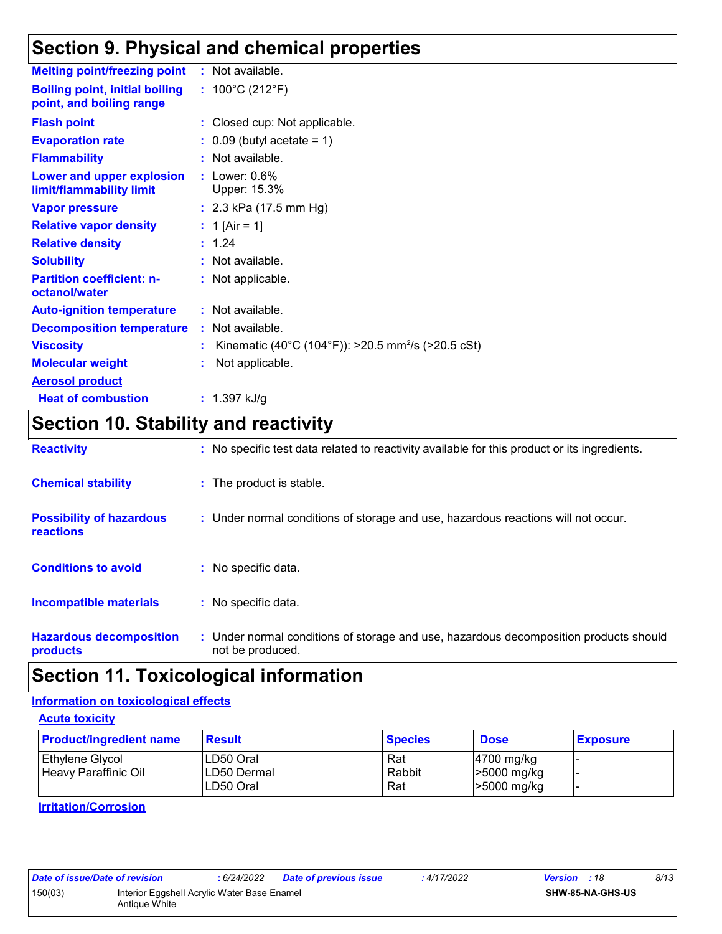### **Section 9. Physical and chemical properties**

| <b>Melting point/freezing point</b>                               | : Not available.                                               |
|-------------------------------------------------------------------|----------------------------------------------------------------|
| <b>Boiling point, initial boiling</b><br>point, and boiling range | : $100^{\circ}$ C (212 $^{\circ}$ F)                           |
| <b>Flash point</b>                                                | : Closed cup: Not applicable.                                  |
| <b>Evaporation rate</b>                                           | $\therefore$ 0.09 (butyl acetate = 1)                          |
| <b>Flammability</b>                                               | : Not available.                                               |
| Lower and upper explosion<br>limit/flammability limit             | $:$ Lower: $0.6\%$<br>Upper: 15.3%                             |
| <b>Vapor pressure</b>                                             | : $2.3$ kPa (17.5 mm Hg)                                       |
| <b>Relative vapor density</b>                                     | : 1 [Air = 1]                                                  |
| <b>Relative density</b>                                           | : 1.24                                                         |
| <b>Solubility</b>                                                 | : Not available.                                               |
| <b>Partition coefficient: n-</b><br>octanol/water                 | : Not applicable.                                              |
| <b>Auto-ignition temperature</b>                                  | : Not available.                                               |
| <b>Decomposition temperature</b>                                  | : Not available.                                               |
| <b>Viscosity</b>                                                  | Kinematic (40°C (104°F)): >20.5 mm <sup>2</sup> /s (>20.5 cSt) |
| <b>Molecular weight</b>                                           | Not applicable.                                                |
| <b>Aerosol product</b>                                            |                                                                |
| <b>Heat of combustion</b>                                         | : $1.397$ kJ/g                                                 |

### **Section 10. Stability and reactivity**

| <b>Reactivity</b>                            | : No specific test data related to reactivity available for this product or its ingredients.              |
|----------------------------------------------|-----------------------------------------------------------------------------------------------------------|
| <b>Chemical stability</b>                    | : The product is stable.                                                                                  |
| <b>Possibility of hazardous</b><br>reactions | : Under normal conditions of storage and use, hazardous reactions will not occur.                         |
| <b>Conditions to avoid</b>                   | : No specific data.                                                                                       |
| <b>Incompatible materials</b>                | : No specific data.                                                                                       |
| <b>Hazardous decomposition</b><br>products   | : Under normal conditions of storage and use, hazardous decomposition products should<br>not be produced. |

### **Section 11. Toxicological information**

#### **Information on toxicological effects**

**Acute toxicity**

| <b>Product/ingredient name</b>          | <b>Result</b>                                 | <b>Species</b>       | <b>Dose</b>                                          | <b>Exposure</b> |
|-----------------------------------------|-----------------------------------------------|----------------------|------------------------------------------------------|-----------------|
| Ethylene Glycol<br>Heavy Paraffinic Oil | ILD50 Oral<br><b>LD50 Dermal</b><br>LD50 Oral | Rat<br>Rabbit<br>Rat | $ 4700 \text{ mg/kg} $<br>>5000 mg/kg<br>>5000 mg/kg |                 |

**Irritation/Corrosion**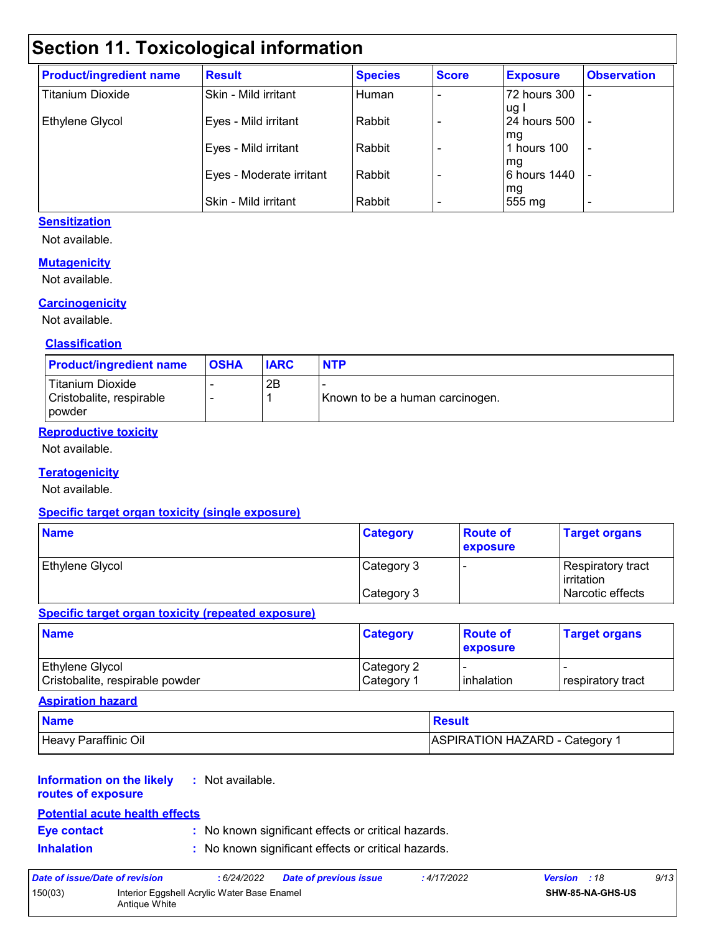### **Section 11. Toxicological information**

| <b>Product/ingredient name</b> | <b>Result</b>            | <b>Species</b> | <b>Score</b> | <b>Exposure</b>      | <b>Observation</b>       |
|--------------------------------|--------------------------|----------------|--------------|----------------------|--------------------------|
| <b>Titanium Dioxide</b>        | Skin - Mild irritant     | Human          |              | 72 hours 300         |                          |
| Ethylene Glycol                | Eyes - Mild irritant     | Rabbit         |              | ug l<br>24 hours 500 |                          |
|                                | Eyes - Mild irritant     | Rabbit         |              | l mg<br>hours 100    | $\overline{\phantom{a}}$ |
|                                | Eyes - Moderate irritant | Rabbit         |              | mg<br>6 hours 1440   |                          |
|                                | Skin - Mild irritant     | Rabbit         |              | mg<br>555 mg         | $\overline{\phantom{0}}$ |

#### **Sensitization**

Not available.

#### **Mutagenicity**

Not available.

#### **Carcinogenicity**

Not available.

#### **Classification**

| <b>Product/ingredient name</b>                                | <b>OSHA</b> | <b>IARC</b> | <b>NTP</b>                      |
|---------------------------------------------------------------|-------------|-------------|---------------------------------|
| <b>Titanium Dioxide</b><br>Cristobalite, respirable<br>powder |             | 2B          | Known to be a human carcinogen. |

#### **Reproductive toxicity**

Not available.

#### **Teratogenicity**

Not available.

#### **Specific target organ toxicity (single exposure)**

| <b>Name</b>            | <b>Category</b> | <b>Route of</b><br><b>exposure</b> | <b>Target organs</b>                      |
|------------------------|-----------------|------------------------------------|-------------------------------------------|
| <b>Ethylene Glycol</b> | Category 3      |                                    | Respiratory tract_<br><b>l</b> irritation |
|                        | Category 3      |                                    | Narcotic effects                          |

#### **Specific target organ toxicity (repeated exposure)**

| <b>Name</b>                                               | <b>Category</b>                      | <b>Route of</b><br><b>exposure</b> | <b>Target organs</b>       |
|-----------------------------------------------------------|--------------------------------------|------------------------------------|----------------------------|
| <b>Ethylene Glycol</b><br>Cristobalite, respirable powder | Category 2<br>∣Category <sup>1</sup> | <b>linhalation</b>                 | <b>I</b> respiratory tract |

#### **Aspiration hazard**

| <b>Name</b>          | Result                                |
|----------------------|---------------------------------------|
| Heavy Paraffinic Oil | <b>ASPIRATION HAZARD - Category 1</b> |

#### **Information on the likely routes of exposure :** Not available.

### **Potential acute health effects**

**Eye contact :** No known significant effects or critical hazards.

**Inhalation :** No known significant effects or critical hazards.

| Date of issue/Date of revision |                                                              | : 6/24/2022 | <b>Date of previous issue</b> | : 4/17/2022 | <b>Version</b> : 18 |                         | 9/13 |
|--------------------------------|--------------------------------------------------------------|-------------|-------------------------------|-------------|---------------------|-------------------------|------|
| 150(03)                        | Interior Eggshell Acrylic Water Base Enamel<br>Antique White |             |                               |             |                     | <b>SHW-85-NA-GHS-US</b> |      |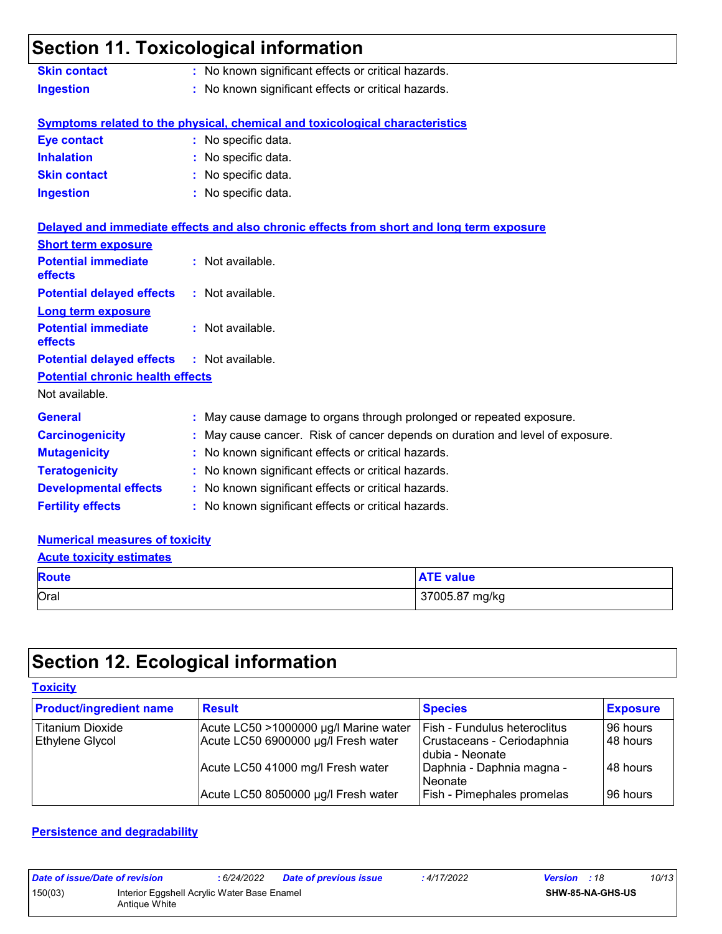### **Section 11. Toxicological information**

| <b>Skin contact</b> | : No known significant effects or critical hazards. |
|---------------------|-----------------------------------------------------|
| <b>Ingestion</b>    | : No known significant effects or critical hazards. |

**Fertility effects :** No known significant effects or critical hazards.

#### **Symptoms related to the physical, chemical and toxicological characteristics**

| Eye contact         | : No specific data. |
|---------------------|---------------------|
| <b>Inhalation</b>   | : No specific data. |
| <b>Skin contact</b> | : No specific data. |
| <b>Ingestion</b>    | : No specific data. |

|                                                   | Delayed and immediate effects and also chronic effects from short and long term exposure |
|---------------------------------------------------|------------------------------------------------------------------------------------------|
| <b>Short term exposure</b>                        |                                                                                          |
| <b>Potential immediate</b><br>effects             | : Not available.                                                                         |
| <b>Potential delayed effects</b>                  | : Not available.                                                                         |
| <b>Long term exposure</b>                         |                                                                                          |
| <b>Potential immediate</b><br><b>effects</b>      | : Not available.                                                                         |
| <b>Potential delayed effects : Not available.</b> |                                                                                          |
| <b>Potential chronic health effects</b>           |                                                                                          |
| Not available.                                    |                                                                                          |
| <b>General</b>                                    | : May cause damage to organs through prolonged or repeated exposure.                     |
| <b>Carcinogenicity</b>                            | : May cause cancer. Risk of cancer depends on duration and level of exposure.            |
| <b>Mutagenicity</b>                               | : No known significant effects or critical hazards.                                      |
| <b>Teratogenicity</b>                             | : No known significant effects or critical hazards.                                      |
| <b>Developmental effects</b>                      | : No known significant effects or critical hazards.                                      |

### **Numerical measures of toxicity**

#### **Acute toxicity estimates**

| <b>Route</b> | <b>ATE value</b> |
|--------------|------------------|
| Oral         | 37005.87 mg/kg   |

## **Section 12. Ecological information**

#### **Toxicity**

| <b>Product/ingredient name</b> | <b>Result</b>                         | <b>Species</b>                                  | <b>Exposure</b> |
|--------------------------------|---------------------------------------|-------------------------------------------------|-----------------|
| <b>Titanium Dioxide</b>        | Acute LC50 >1000000 µg/l Marine water | <b>Fish - Fundulus heteroclitus</b>             | 96 hours        |
| <b>Ethylene Glycol</b>         | Acute LC50 6900000 µg/l Fresh water   | Crustaceans - Ceriodaphnia<br>I dubia - Neonate | 148 hours       |
|                                | Acute LC50 41000 mg/l Fresh water     | Daphnia - Daphnia magna -<br>Neonate            | 148 hours       |
|                                | Acute LC50 8050000 µg/l Fresh water   | Fish - Pimephales promelas                      | 96 hours        |

#### **Persistence and degradability**

| Date of issue/Date of revision                                          |  | : 6/24/2022 | <b>Date of previous issue</b> | : 4/17/2022 | <b>Version</b> : 18 | 10/13 |
|-------------------------------------------------------------------------|--|-------------|-------------------------------|-------------|---------------------|-------|
| 150(03)<br>Interior Eggshell Acrylic Water Base Enamel<br>Antique White |  |             | <b>SHW-85-NA-GHS-US</b>       |             |                     |       |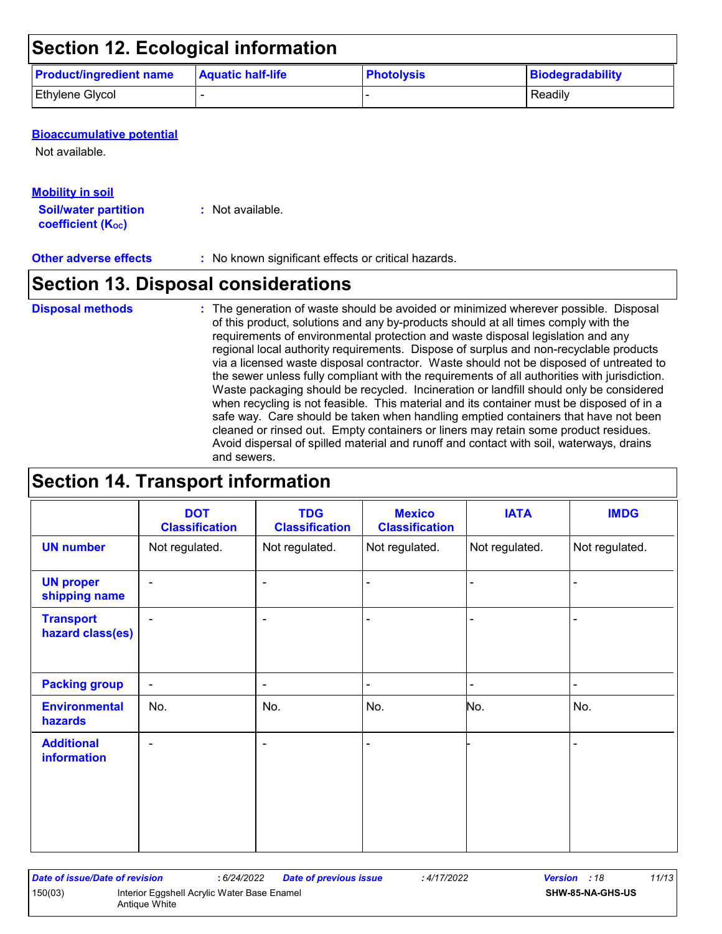### **Section 12. Ecological information**

| <b>Product/ingredient name</b> | <b>Aquatic half-life</b> | <b>Photolysis</b> | <b>Biodegradability</b> |
|--------------------------------|--------------------------|-------------------|-------------------------|
| <b>Ethylene Glycol</b>         |                          |                   | Readily                 |

#### **Bioaccumulative potential**

Not available.

#### **Mobility in soil**

**Soil/water partition coefficient (KOC)**

**:** Not available.

#### **Other adverse effects** : No known significant effects or critical hazards.

### **Section 13. Disposal considerations**

#### The generation of waste should be avoided or minimized wherever possible. Disposal of this product, solutions and any by-products should at all times comply with the requirements of environmental protection and waste disposal legislation and any regional local authority requirements. Dispose of surplus and non-recyclable products via a licensed waste disposal contractor. Waste should not be disposed of untreated to the sewer unless fully compliant with the requirements of all authorities with jurisdiction. Waste packaging should be recycled. Incineration or landfill should only be considered when recycling is not feasible. This material and its container must be disposed of in a safe way. Care should be taken when handling emptied containers that have not been cleaned or rinsed out. Empty containers or liners may retain some product residues. Avoid dispersal of spilled material and runoff and contact with soil, waterways, drains and sewers. **Disposal methods :**

### **Section 14. Transport information**

|                                      | <b>DOT</b><br><b>Classification</b> | <b>TDG</b><br><b>Classification</b> | <b>Mexico</b><br><b>Classification</b> | <b>IATA</b>    | <b>IMDG</b>    |
|--------------------------------------|-------------------------------------|-------------------------------------|----------------------------------------|----------------|----------------|
| <b>UN number</b>                     | Not regulated.                      | Not regulated.                      | Not regulated.                         | Not regulated. | Not regulated. |
| <b>UN proper</b><br>shipping name    | $\blacksquare$                      | ۰                                   | ä,                                     |                |                |
| <b>Transport</b><br>hazard class(es) | $\blacksquare$                      | ۰                                   |                                        |                |                |
| <b>Packing group</b>                 | $\blacksquare$                      | ۰                                   | $\blacksquare$                         |                | $\blacksquare$ |
| <b>Environmental</b><br>hazards      | No.                                 | No.                                 | No.                                    | No.            | No.            |
| <b>Additional</b><br>information     | $\blacksquare$                      | ۰                                   | $\blacksquare$                         |                |                |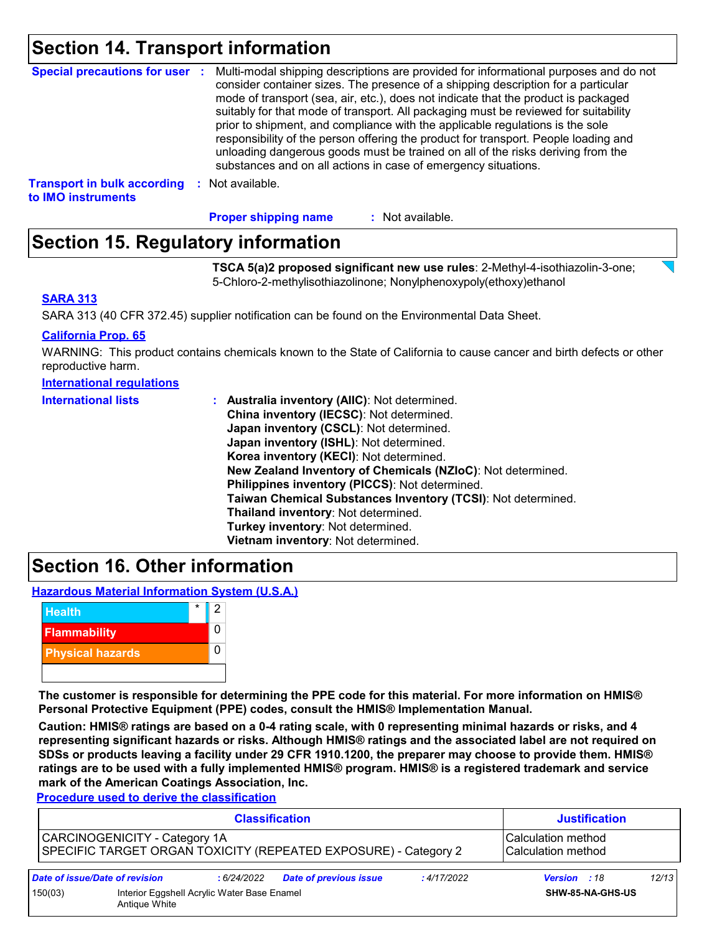### **Section 14. Transport information**

| <b>Special precautions for user :</b> | Multi-modal shipping descriptions are provided for informational purposes and do not<br>consider container sizes. The presence of a shipping description for a particular<br>mode of transport (sea, air, etc.), does not indicate that the product is packaged<br>suitably for that mode of transport. All packaging must be reviewed for suitability<br>prior to shipment, and compliance with the applicable regulations is the sole<br>responsibility of the person offering the product for transport. People loading and<br>unloading dangerous goods must be trained on all of the risks deriving from the<br>substances and on all actions in case of emergency situations. |
|---------------------------------------|-------------------------------------------------------------------------------------------------------------------------------------------------------------------------------------------------------------------------------------------------------------------------------------------------------------------------------------------------------------------------------------------------------------------------------------------------------------------------------------------------------------------------------------------------------------------------------------------------------------------------------------------------------------------------------------|
| <b>Transport in bulk according</b>    | Not available.                                                                                                                                                                                                                                                                                                                                                                                                                                                                                                                                                                                                                                                                      |
| to IMO instruments                    | - 50                                                                                                                                                                                                                                                                                                                                                                                                                                                                                                                                                                                                                                                                                |

**Proper shipping name :**

#### : Not available.

### **Section 15. Regulatory information**

**TSCA 5(a)2 proposed significant new use rules**: 2-Methyl-4-isothiazolin-3-one; 5-Chloro-2-methylisothiazolinone; Nonylphenoxypoly(ethoxy)ethanol

#### **SARA 313**

SARA 313 (40 CFR 372.45) supplier notification can be found on the Environmental Data Sheet.

#### **California Prop. 65**

WARNING: This product contains chemicals known to the State of California to cause cancer and birth defects or other reproductive harm.

| <b>International lists</b> | : Australia inventory (AIIC): Not determined.                |
|----------------------------|--------------------------------------------------------------|
|                            | China inventory (IECSC): Not determined.                     |
|                            | Japan inventory (CSCL): Not determined.                      |
|                            | Japan inventory (ISHL): Not determined.                      |
|                            | Korea inventory (KECI): Not determined.                      |
|                            | New Zealand Inventory of Chemicals (NZIoC): Not determined.  |
|                            | Philippines inventory (PICCS): Not determined.               |
|                            | Taiwan Chemical Substances Inventory (TCSI): Not determined. |
|                            | Thailand inventory: Not determined.                          |
|                            | Turkey inventory: Not determined.                            |
|                            | Vietnam inventory: Not determined.                           |

### **Section 16. Other information**

**Hazardous Material Information System (U.S.A.)**



**The customer is responsible for determining the PPE code for this material. For more information on HMIS® Personal Protective Equipment (PPE) codes, consult the HMIS® Implementation Manual.**

**Caution: HMIS® ratings are based on a 0-4 rating scale, with 0 representing minimal hazards or risks, and 4 representing significant hazards or risks. Although HMIS® ratings and the associated label are not required on SDSs or products leaving a facility under 29 CFR 1910.1200, the preparer may choose to provide them. HMIS® ratings are to be used with a fully implemented HMIS® program. HMIS® is a registered trademark and service mark of the American Coatings Association, Inc.**

**Procedure used to derive the classification**

|         | <b>Classification</b>                                        |             |                                                                 |             | <b>Justification</b>                       |       |  |
|---------|--------------------------------------------------------------|-------------|-----------------------------------------------------------------|-------------|--------------------------------------------|-------|--|
|         | CARCINOGENICITY - Category 1A                                |             | SPECIFIC TARGET ORGAN TOXICITY (REPEATED EXPOSURE) - Category 2 |             | l Calculation method<br>Calculation method |       |  |
|         | Date of issue/Date of revision                               | : 6/24/2022 | <b>Date of previous issue</b>                                   | : 4/17/2022 | Version : 18                               | 12/13 |  |
| 150(03) | Interior Eggshell Acrylic Water Base Enamel<br>Antique White |             |                                                                 |             | SHW-85-NA-GHS-US                           |       |  |